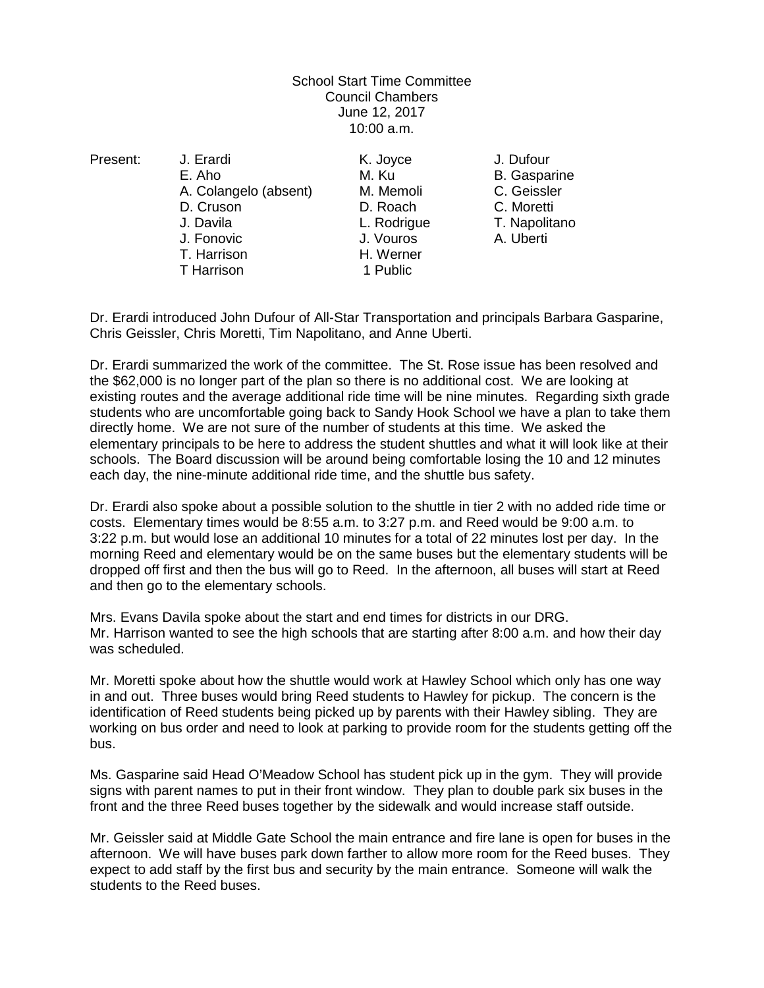## School Start Time Committee Council Chambers June 12, 2017 10:00 a.m.

Present: J. Erardi K. Joyce J. Dufour E. Aho M. Ku B. Gasparine A. Colangelo (absent) M. Memoli C. Geissler D. Cruson D. Roach C. Moretti J. Davila L. Rodrigue T. Napolitano T. Harrison H. Werner T Harrison

J. Vouros A. Uberti

Dr. Erardi introduced John Dufour of All-Star Transportation and principals Barbara Gasparine, Chris Geissler, Chris Moretti, Tim Napolitano, and Anne Uberti.

Dr. Erardi summarized the work of the committee. The St. Rose issue has been resolved and the \$62,000 is no longer part of the plan so there is no additional cost. We are looking at existing routes and the average additional ride time will be nine minutes. Regarding sixth grade students who are uncomfortable going back to Sandy Hook School we have a plan to take them directly home. We are not sure of the number of students at this time. We asked the elementary principals to be here to address the student shuttles and what it will look like at their schools. The Board discussion will be around being comfortable losing the 10 and 12 minutes each day, the nine-minute additional ride time, and the shuttle bus safety.

Dr. Erardi also spoke about a possible solution to the shuttle in tier 2 with no added ride time or costs. Elementary times would be 8:55 a.m. to 3:27 p.m. and Reed would be 9:00 a.m. to 3:22 p.m. but would lose an additional 10 minutes for a total of 22 minutes lost per day. In the morning Reed and elementary would be on the same buses but the elementary students will be dropped off first and then the bus will go to Reed. In the afternoon, all buses will start at Reed and then go to the elementary schools.

Mrs. Evans Davila spoke about the start and end times for districts in our DRG. Mr. Harrison wanted to see the high schools that are starting after 8:00 a.m. and how their day was scheduled.

Mr. Moretti spoke about how the shuttle would work at Hawley School which only has one way in and out. Three buses would bring Reed students to Hawley for pickup. The concern is the identification of Reed students being picked up by parents with their Hawley sibling. They are working on bus order and need to look at parking to provide room for the students getting off the bus.

Ms. Gasparine said Head O'Meadow School has student pick up in the gym. They will provide signs with parent names to put in their front window. They plan to double park six buses in the front and the three Reed buses together by the sidewalk and would increase staff outside.

Mr. Geissler said at Middle Gate School the main entrance and fire lane is open for buses in the afternoon. We will have buses park down farther to allow more room for the Reed buses. They expect to add staff by the first bus and security by the main entrance. Someone will walk the students to the Reed buses.